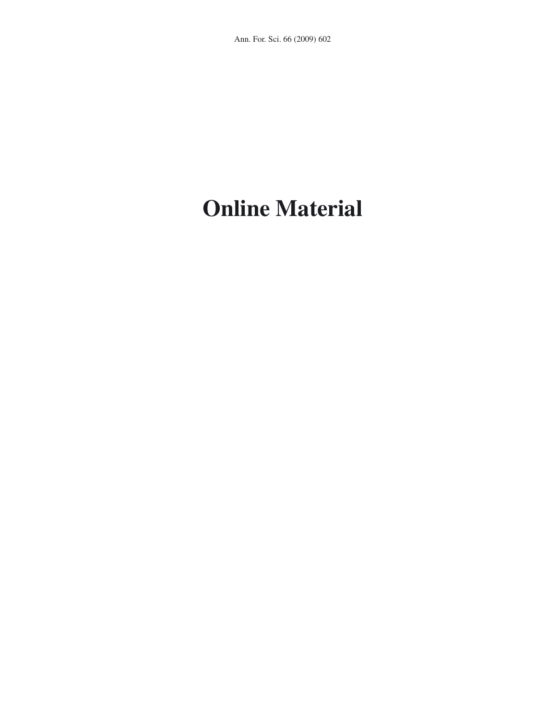## **Online Material**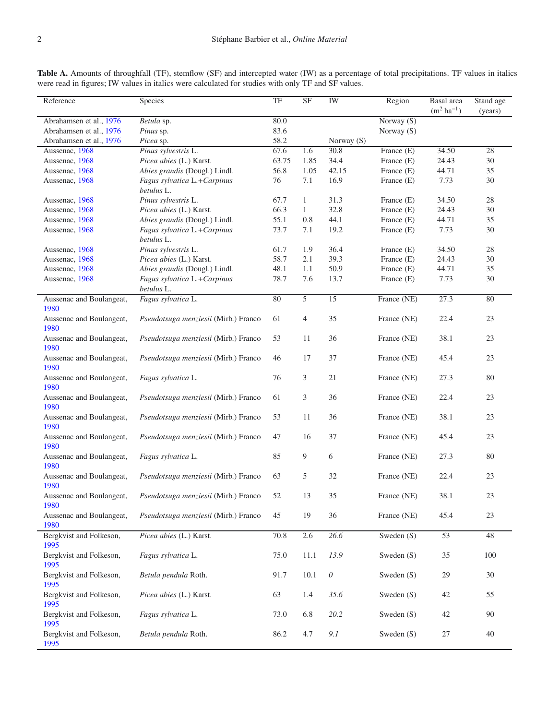| I |  |  |
|---|--|--|
|   |  |  |
|   |  |  |
|   |  |  |

| Reference                        | Species                                   | TF    | <b>SF</b>    | IW              | Region       | Basal area<br>$(m^2 \, ha^{-1})$ | Stand age<br>(years) |
|----------------------------------|-------------------------------------------|-------|--------------|-----------------|--------------|----------------------------------|----------------------|
| Abrahamsen et al., 1976          | Betula sp.                                | 80.0  |              |                 | Norway (S)   |                                  |                      |
| Abrahamsen et al., 1976          | Pinus sp.                                 | 83.6  |              |                 | Norway (S)   |                                  |                      |
| Abrahamsen et al., 1976          | Picea sp.                                 | 58.2  |              | Norway (S)      |              |                                  |                      |
| Aussenac, 1968                   | Pinus sylvestris L.                       | 67.6  | 1.6          | 30.8            | France (E)   | 34.50                            | 28                   |
| Aussenac, 1968                   | Picea abies (L.) Karst.                   | 63.75 | 1.85         | 34.4            | France (E)   | 24.43                            | 30                   |
| Aussenac, 1968                   | Abies grandis (Dougl.) Lindl.             | 56.8  | 1.05         | 42.15<br>16.9   | France (E)   | 44.71                            | 35<br>30             |
| Aussenac, 1968                   | Fagus sylvatica L.+Carpinus<br>betulus L. | 76    | 7.1          |                 | France (E)   | 7.73                             |                      |
| Aussenac, 1968                   | Pinus sylvestris L.                       | 67.7  | 1            | 31.3            | France (E)   | 34.50                            | 28                   |
| Aussenac, 1968                   | Picea abies (L.) Karst.                   | 66.3  | $\mathbf{1}$ | 32.8            | France (E)   | 24.43                            | 30                   |
| Aussenac, 1968                   | Abies grandis (Dougl.) Lindl.             | 55.1  | 0.8          | 44.1            | France (E)   | 44.71                            | 35                   |
| Aussenac, 1968                   | Fagus sylvatica L.+Carpinus<br>betulus L. | 73.7  | 7.1          | 19.2            | France (E)   | 7.73                             | 30                   |
| Aussenac, 1968                   | Pinus sylvestris L.                       | 61.7  | 1.9          | 36.4            | France (E)   | 34.50                            | 28                   |
| Aussenac, 1968                   | Picea abies (L.) Karst.                   | 58.7  | 2.1          | 39.3            | France (E)   | 24.43                            | 30                   |
| Aussenac, 1968                   | Abies grandis (Dougl.) Lindl.             | 48.1  | 1.1          | 50.9            | France (E)   | 44.71                            | 35                   |
| Aussenac, 1968                   | Fagus sylvatica L.+Carpinus<br>betulus L. | 78.7  | 7.6          | 13.7            | France (E)   | 7.73                             | 30                   |
| Aussenac and Boulangeat,         | Fagus sylvatica L.                        | 80    | 5            | $\overline{15}$ | France (NE)  | 27.3                             | 80                   |
| 1980                             |                                           |       |              |                 |              |                                  |                      |
| Aussenac and Boulangeat,<br>1980 | Pseudotsuga menziesii (Mirb.) Franco      | 61    | 4            | 35              | France (NE)  | 22.4                             | 23                   |
| Aussenac and Boulangeat,<br>1980 | Pseudotsuga menziesii (Mirb.) Franco      | 53    | 11           | 36              | France (NE)  | 38.1                             | 23                   |
| Aussenac and Boulangeat,<br>1980 | Pseudotsuga menziesii (Mirb.) Franco      | 46    | 17           | 37              | France (NE)  | 45.4                             | 23                   |
| Aussenac and Boulangeat,<br>1980 | Fagus sylvatica L.                        | 76    | 3            | 21              | France (NE)  | 27.3                             | 80                   |
| Aussenac and Boulangeat,<br>1980 | Pseudotsuga menziesii (Mirb.) Franco      | 61    | 3            | 36              | France (NE)  | 22.4                             | 23                   |
| Aussenac and Boulangeat,<br>1980 | Pseudotsuga menziesii (Mirb.) Franco      | 53    | 11           | 36              | France (NE)  | 38.1                             | 23                   |
| Aussenac and Boulangeat,<br>1980 | Pseudotsuga menziesii (Mirb.) Franco      | 47    | 16           | 37              | France (NE)  | 45.4                             | 23                   |
| Aussenac and Boulangeat,<br>1980 | Fagus sylvatica L.                        | 85    | 9            | 6               | France (NE)  | 27.3                             | 80                   |
| Aussenac and Boulangeat,<br>1980 | Pseudotsuga menziesii (Mirb.) Franco      | 63    | 5            | 32              | France (NE)  | 22.4                             | 23                   |
| Aussenac and Boulangeat,<br>1980 | Pseudotsuga menziesii (Mirb.) Franco      | 52    | 13           | 35              | France (NE)  | 38.1                             | 23                   |
| Aussenac and Boulangeat,<br>1980 | Pseudotsuga menziesii (Mirb.) Franco      | 45    | 19           | 36              | France (NE)  | 45.4                             | 23                   |
| Bergkvist and Folkeson,<br>1995  | Picea abies (L.) Karst.                   | 70.8  | 2.6          | 26.6            | Sweden $(S)$ | $\overline{53}$                  | 48                   |
| Bergkvist and Folkeson,<br>1995  | Fagus sylvatica L.                        | 75.0  | 11.1         | 13.9            | Sweden $(S)$ | 35                               | 100                  |
| Bergkvist and Folkeson,<br>1995  | Betula pendula Roth.                      | 91.7  | 10.1         | ${\cal O}$      | Sweden (S)   | 29                               | 30                   |
| Bergkvist and Folkeson,<br>1995  | Picea abies (L.) Karst.                   | 63    | 1.4          | 35.6            | Sweden $(S)$ | 42                               | 55                   |
| Bergkvist and Folkeson,<br>1995  | Fagus sylvatica L.                        | 73.0  | 6.8          | 20.2            | Sweden $(S)$ | 42                               | 90                   |
| Bergkvist and Folkeson,<br>1995  | Betula pendula Roth.                      | 86.2  | 4.7          | 9.1             | Sweden (S)   | 27                               | 40                   |

Table A. Amounts of throughfall (TF), stemflow (SF) and intercepted water (IW) as a percentage of total precipitations. TF values in italics were read in figures; IW values in italics were calculated for studies with only TF and SF values.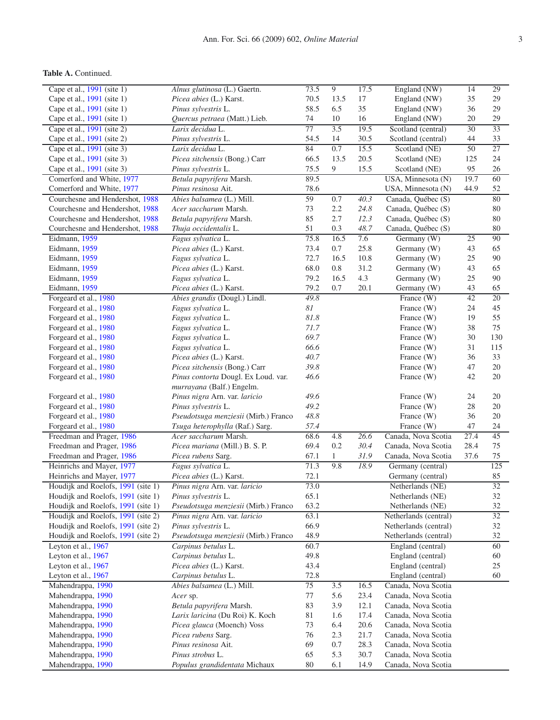## **Table A.** Continued.

| Cape et al., 1991 (site 1)         | Alnus glutinosa (L.) Gaertn.         | 73.5                               | $\overline{9}$ | 17.5 | England (NW)          | 14              | 29  |
|------------------------------------|--------------------------------------|------------------------------------|----------------|------|-----------------------|-----------------|-----|
| Cape et al., 1991 (site 1)         | Picea abies (L.) Karst.              | 70.5<br>17<br>13.5<br>England (NW) |                | 35   | 29                    |                 |     |
| Cape et al., 1991 (site 1)         | Pinus sylvestris L.                  | 58.5<br>35<br>6.5<br>England (NW)  |                | 36   | 29                    |                 |     |
| Cape et al., 1991 (site 1)         | Quercus petraea (Matt.) Lieb.        | 74                                 | 10<br>16       |      | England (NW)          | 20              | 29  |
| Cape et al., 1991 (site 2)         | Larix decidua L.                     | 77                                 | 3.5            | 19.5 | Scotland (central)    | 30              | 33  |
| Cape et al., 1991 (site 2)         | Pinus sylvestris L.                  | 54.5                               | 14             | 30.5 | Scotland (central)    | 44              | 33  |
| Cape et al., 1991 (site 3)         | Larix decidua L.                     | 84                                 | 0.7            | 15.5 | Scotland (NE)         | $\overline{50}$ | 27  |
| Cape et al., 1991 (site 3)         | Picea sitchensis (Bong.) Carr        | 66.5                               | 13.5           | 20.5 | Scotland (NE)         | 125             | 24  |
| Cape et al., 1991 (site 3)         | Pinus sylvestris L.                  | 75.5                               | 9              | 15.5 | Scotland (NE)         | 95              | 26  |
| Comerford and White, 1977          | Betula papyrifera Marsh.             | 89.5                               |                |      | USA, Minnesota (N)    | 19.7            | 60  |
| Comerford and White, 1977          | Pinus resinosa Ait.                  | 78.6                               |                |      | USA, Minnesota (N)    | 44.9            | 52  |
| Courchesne and Hendershot, 1988    | Abies balsamea (L.) Mill.            | 59                                 | 0.7            | 40.3 | Canada, Québec (S)    |                 | 80  |
| Courchesne and Hendershot, 1988    | Acer saccharum Marsh.                | 73                                 | 2.2            | 24.8 | Canada, Québec (S)    |                 | 80  |
| Courchesne and Hendershot, 1988    | Betula papyrifera Marsh.             | 85                                 | 2.7            | 12.3 | Canada, Québec (S)    |                 | 80  |
| Courchesne and Hendershot, 1988    | Thuja occidentalis L.                | 51                                 | 0.3            | 48.7 | Canada, Québec (S)    |                 | 80  |
| Eidmann, 1959                      | Fagus sylvatica L.                   | 75.8                               | 16.5           | 7.6  | Germany (W)           | 25              | 90  |
| Eidmann, 1959                      | Picea abies (L.) Karst.              | 73.4                               | 0.7            | 25.8 | Germany (W)           | 43              | 65  |
| Eidmann, 1959                      | Fagus sylvatica L.                   | 72.7                               | 16.5           | 10.8 | Germany (W)           | 25              | 90  |
| Eidmann, 1959                      | Picea abies (L.) Karst.              | 68.0                               | 0.8            | 31.2 | Germany (W)           | 43              | 65  |
| Eidmann, 1959                      | Fagus sylvatica L.                   | 79.2                               | 16.5           | 4.3  | Germany (W)           | 25              | 90  |
| Eidmann, 1959                      | Picea abies (L.) Karst.              | 79.2                               | 0.7            | 20.1 | Germany (W)           | 43              | 65  |
| Forgeard et al., 1980              | Abies grandis (Dougl.) Lindl.        | 49.8                               |                |      | France $(W)$          | 42              | 20  |
| Forgeard et al., 1980              | Fagus sylvatica L.                   | $\mathcal{S}I$                     |                |      | France $(W)$          | 24              | 45  |
| Forgeard et al., 1980              | Fagus sylvatica L.                   | 81.8                               |                |      | France (W)            | 19              | 55  |
| Forgeard et al., 1980              | Fagus sylvatica L.                   | 71.7                               |                |      | France $(W)$          | 38              | 75  |
| Forgeard et al., 1980              | Fagus sylvatica L.                   | 69.7                               |                |      | France (W)            | 30              | 130 |
| Forgeard et al., 1980              | Fagus sylvatica L.                   | 66.6                               |                |      | France (W)            | 31              | 115 |
| Forgeard et al., 1980              | Picea abies (L.) Karst.              | 40.7                               |                |      | France (W)            | 36              | 33  |
| Forgeard et al., 1980              | Picea sitchensis (Bong.) Carr        | 39.8                               |                |      | France (W)            | 47              | 20  |
| Forgeard et al., 1980              | Pinus contorta Dougl. Ex Loud. var.  | 46.6                               |                |      | France (W)            | 42              | 20  |
|                                    | murrayana (Balf.) Engelm.            |                                    |                |      |                       |                 |     |
| Forgeard et al., 1980              | Pinus nigra Arn. var. laricio        | 49.6                               |                |      | France $(W)$          | 24              | 20  |
| Forgeard et al., 1980              | Pinus sylvestris L.                  | 49.2                               |                |      | France $(W)$          | 28              | 20  |
| Forgeard et al., 1980              | Pseudotsuga menziesii (Mirb.) Franco | 48.8                               |                |      | France $(W)$          | 36              | 20  |
| Forgeard et al., 1980              | Tsuga heterophylla (Raf.) Sarg.      | 57.4                               |                |      | France $(W)$          | 47              | 24  |
| Freedman and Prager, 1986          | Acer saccharum Marsh.                | 68.6                               | 4.8            | 26.6 | Canada, Nova Scotia   | 27.4            | 45  |
| Freedman and Prager, 1986          | Picea mariana (Mill.) B. S. P.       | 69.4                               | 0.2            | 30.4 | Canada, Nova Scotia   | 28.4            | 75  |
| Freedman and Prager, 1986          | Picea rubens Sarg.                   | 67.1                               | $\mathbf{1}$   | 31.9 | Canada, Nova Scotia   | 37.6            | 75  |
| Heinrichs and Mayer, 1977          | Fagus sylvatica L.                   | 71.3                               | 9.8            | 18.9 | Germany (central)     |                 | 125 |
| Heinrichs and Mayer, 1977          | Picea abies (L.) Karst.              | 72.1                               |                |      | Germany (central)     |                 | 85  |
| Houdijk and Roelofs, 1991 (site 1) | Pinus nigra Arn. var. laricio        | 73.0                               |                |      | Netherlands (NE)      |                 | 32  |
| Houdijk and Roelofs, 1991 (site 1) | Pinus sylvestris L.                  | 65.1                               |                |      | Netherlands (NE)      |                 | 32  |
| Houdijk and Roelofs, 1991 (site 1) | Pseudotsuga menziesii (Mirb.) Franco | 63.2                               |                |      | Netherlands (NE)      |                 | 32  |
| Houdijk and Roelofs, 1991 (site 2) | Pinus nigra Arn. var. laricio        | 63.1                               |                |      | Netherlands (central) |                 | 32  |
| Houdijk and Roelofs, 1991 (site 2) | Pinus sylvestris L.                  | 66.9                               |                |      | Netherlands (central) |                 | 32  |
| Houdijk and Roelofs, 1991 (site 2) | Pseudotsuga menziesii (Mirb.) Franco | 48.9                               |                |      | Netherlands (central) |                 | 32  |
| Leyton et al., 1967                | Carpinus betulus L.                  | 60.7                               |                |      | England (central)     |                 | 60  |
| Leyton et al., 1967                | Carpinus betulus L.                  | 49.8                               |                |      | England (central)     |                 | 60  |
| Leyton et al., 1967                | Picea abies (L.) Karst.              | 43.4                               |                |      | England (central)     |                 | 25  |
| Leyton et al., 1967                | Carpinus betulus L.                  | 72.8                               |                |      | England (central)     |                 | 60  |
| Mahendrappa, 1990                  | Abies balsamea (L.) Mill.            | 75                                 | 3.5            | 16.5 | Canada, Nova Scotia   |                 |     |
|                                    |                                      |                                    | 5.6            | 23.4 | Canada, Nova Scotia   |                 |     |
| Mahendrappa, 1990                  | Acer sp.                             | 77<br>83                           | 3.9            | 12.1 | Canada, Nova Scotia   |                 |     |
| Mahendrappa, 1990                  | Betula papyrifera Marsh.             |                                    |                |      |                       |                 |     |
| Mahendrappa, 1990                  | Larix laricina (Du Roi) K. Koch      | 81                                 | 1.6            | 17.4 | Canada, Nova Scotia   |                 |     |
| Mahendrappa, 1990                  | Picea glauca (Moench) Voss           | 73                                 | 6.4            | 20.6 | Canada, Nova Scotia   |                 |     |
| Mahendrappa, 1990                  | Picea rubens Sarg.                   | 76                                 | 2.3            | 21.7 | Canada, Nova Scotia   |                 |     |
| Mahendrappa, 1990                  | Pinus resinosa Ait.                  | 69                                 | 0.7            | 28.3 | Canada, Nova Scotia   |                 |     |
| Mahendrappa, 1990                  | Pinus strobus L.                     | 65                                 | 5.3            | 30.7 | Canada, Nova Scotia   |                 |     |
| Mahendrappa, 1990                  | Populus grandidentata Michaux        | 80                                 | 6.1            | 14.9 | Canada, Nova Scotia   |                 |     |